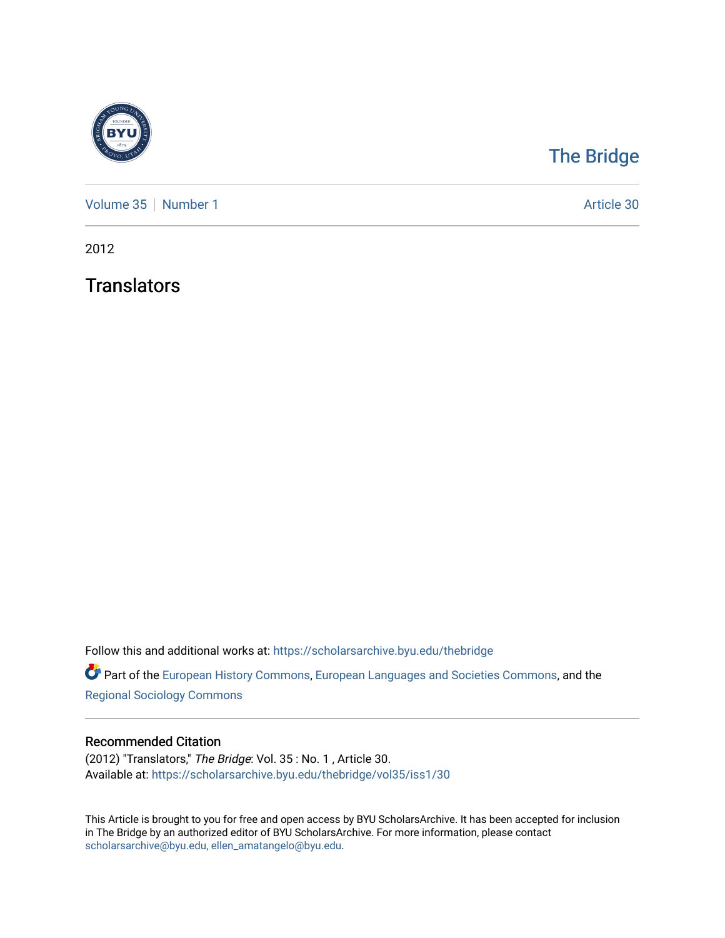

## [The Bridge](https://scholarsarchive.byu.edu/thebridge)

[Volume 35](https://scholarsarchive.byu.edu/thebridge/vol35) [Number 1](https://scholarsarchive.byu.edu/thebridge/vol35/iss1) Article 30

2012

**Translators** 

Follow this and additional works at: [https://scholarsarchive.byu.edu/thebridge](https://scholarsarchive.byu.edu/thebridge?utm_source=scholarsarchive.byu.edu%2Fthebridge%2Fvol35%2Fiss1%2F30&utm_medium=PDF&utm_campaign=PDFCoverPages) 

**Part of the [European History Commons](http://network.bepress.com/hgg/discipline/492?utm_source=scholarsarchive.byu.edu%2Fthebridge%2Fvol35%2Fiss1%2F30&utm_medium=PDF&utm_campaign=PDFCoverPages), [European Languages and Societies Commons,](http://network.bepress.com/hgg/discipline/482?utm_source=scholarsarchive.byu.edu%2Fthebridge%2Fvol35%2Fiss1%2F30&utm_medium=PDF&utm_campaign=PDFCoverPages) and the** [Regional Sociology Commons](http://network.bepress.com/hgg/discipline/427?utm_source=scholarsarchive.byu.edu%2Fthebridge%2Fvol35%2Fiss1%2F30&utm_medium=PDF&utm_campaign=PDFCoverPages) 

## Recommended Citation

(2012) "Translators," The Bridge: Vol. 35 : No. 1 , Article 30. Available at: [https://scholarsarchive.byu.edu/thebridge/vol35/iss1/30](https://scholarsarchive.byu.edu/thebridge/vol35/iss1/30?utm_source=scholarsarchive.byu.edu%2Fthebridge%2Fvol35%2Fiss1%2F30&utm_medium=PDF&utm_campaign=PDFCoverPages)

This Article is brought to you for free and open access by BYU ScholarsArchive. It has been accepted for inclusion in The Bridge by an authorized editor of BYU ScholarsArchive. For more information, please contact [scholarsarchive@byu.edu, ellen\\_amatangelo@byu.edu](mailto:scholarsarchive@byu.edu,%20ellen_amatangelo@byu.edu).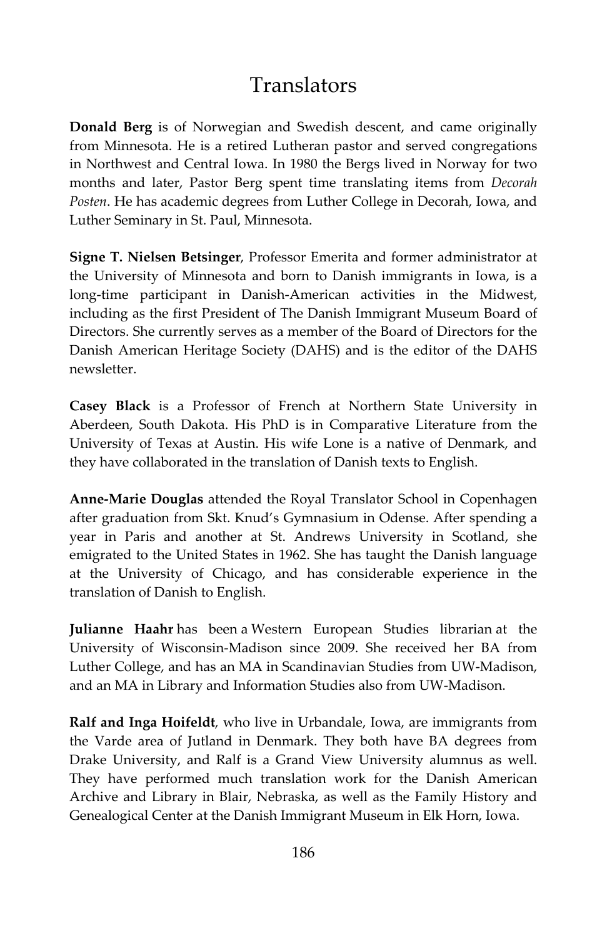## Translators

**Donald Berg** is of Norwegian and Swedish descent, and came originally from Minnesota. He is a retired Lutheran pastor and served congregations in Northwest and Central Iowa. In 1980 the Bergs lived in Norway for two months and later, Pastor Berg spent time translating items from *Decorah Posten*. He has academic degrees from Luther College in Decorah, Iowa, and Luther Seminary in St. Paul, Minnesota.

**Signe T. Nielsen Betsinger**, Professor Emerita and former administrator at the University of Minnesota and born to Danish immigrants in Iowa, is a long-time participant in Danish-American activities in the Midwest, including as the first President of The Danish Immigrant Museum Board of Directors. She currently serves as a member of the Board of Directors for the Danish American Heritage Society (DAHS) and is the editor of the DAHS newsletter.

**Casey Black** is a Professor of French at Northern State University in Aberdeen, South Dakota. His PhD is in Comparative Literature from the University of Texas at Austin. His wife Lone is a native of Denmark, and they have collaborated in the translation of Danish texts to English.

**Anne-Marie Douglas** attended the Royal Translator School in Copenhagen after graduation from Skt. Knud's Gymnasium in Odense. After spending a year in Paris and another at St. Andrews University in Scotland, she emigrated to the United States in 1962. She has taught the Danish language at the University of Chicago, and has considerable experience in the translation of Danish to English.

**Julianne Haahr** has been a Western European Studies librarian at the University of Wisconsin-Madison since 2009. She received her BA from Luther College, and has an MA in Scandinavian Studies from UW-Madison, and an MA in Library and Information Studies also from UW-Madison.

**Ralf and Inga Hoifeldt**, who live in Urbandale, Iowa, are immigrants from the Varde area of Jutland in Denmark. They both have BA degrees from Drake University, and Ralf is a Grand View University alumnus as well. They have performed much translation work for the Danish American Archive and Library in Blair, Nebraska, as well as the Family History and Genealogical Center at the Danish Immigrant Museum in Elk Horn, Iowa.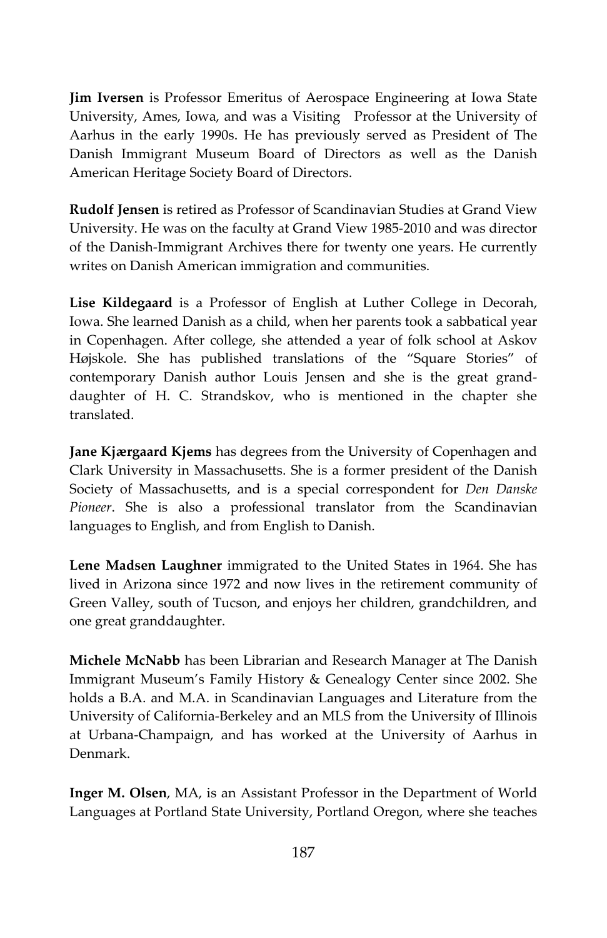**Jim Iversen** is Professor Emeritus of Aerospace Engineering at Iowa State University, Ames, Iowa, and was a Visiting Professor at the University of Aarhus in the early 1990s. He has previously served as President of The Danish Immigrant Museum Board of Directors as well as the Danish American Heritage Society Board of Directors.

**Rudolf Jensen** is retired as Professor of Scandinavian Studies at Grand View University. He was on the faculty at Grand View 1985-2010 and was director of the Danish-Immigrant Archives there for twenty one years. He currently writes on Danish American immigration and communities.

**Lise Kildegaard** is a Professor of English at Luther College in Decorah, Iowa. She learned Danish as a child, when her parents took a sabbatical year in Copenhagen. After college, she attended a year of folk school at Askov Højskole. She has published translations of the "Square Stories" of contemporary Danish author Louis Jensen and she is the great granddaughter of H. C. Strandskov, who is mentioned in the chapter she translated.

**Jane Kjærgaard Kjems** has degrees from the University of Copenhagen and Clark University in Massachusetts. She is a former president of the Danish Society of Massachusetts, and is a special correspondent for *Den Danske Pioneer*. She is also a professional translator from the Scandinavian languages to English, and from English to Danish.

**Lene Madsen Laughner** immigrated to the United States in 1964. She has lived in Arizona since 1972 and now lives in the retirement community of Green Valley, south of Tucson, and enjoys her children, grandchildren, and one great granddaughter.

**Michele McNabb** has been Librarian and Research Manager at The Danish Immigrant Museum's Family History & Genealogy Center since 2002. She holds a B.A. and M.A. in Scandinavian Languages and Literature from the University of California-Berkeley and an MLS from the University of Illinois at Urbana-Champaign, and has worked at the University of Aarhus in Denmark.

**Inger M. Olsen**, MA, is an Assistant Professor in the Department of World Languages at Portland State University, Portland Oregon, where she teaches